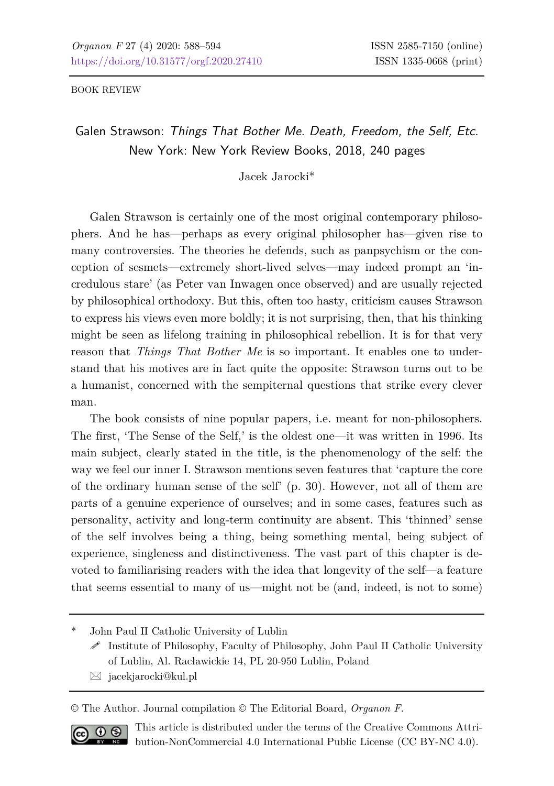BOOK REVIEW

Galen Strawson: *Things That Bother Me. Death, Freedom, the Self, Etc.* New York: New York Review Books, 2018, 240 pages

Jacek Jarocki\*

Galen Strawson is certainly one of the most original contemporary philosophers. And he has—perhaps as every original philosopher has—given rise to many controversies. The theories he defends, such as panpsychism or the conception of sesmets—extremely short-lived selves—may indeed prompt an 'incredulous stare' (as Peter van Inwagen once observed) and are usually rejected by philosophical orthodoxy. But this, often too hasty, criticism causes Strawson to express his views even more boldly; it is not surprising, then, that his thinking might be seen as lifelong training in philosophical rebellion. It is for that very reason that *Things That Bother Me* is so important. It enables one to understand that his motives are in fact quite the opposite: Strawson turns out to be a humanist, concerned with the sempiternal questions that strike every clever man.

The book consists of nine popular papers, i.e. meant for non-philosophers. The first, 'The Sense of the Self,' is the oldest one—it was written in 1996. Its main subject, clearly stated in the title, is the phenomenology of the self: the way we feel our inner I. Strawson mentions seven features that 'capture the core of the ordinary human sense of the self' (p. 30). However, not all of them are parts of a genuine experience of ourselves; and in some cases, features such as personality, activity and long-term continuity are absent. This 'thinned' sense of the self involves being a thing, being something mental, being subject of experience, singleness and distinctiveness. The vast part of this chapter is devoted to familiarising readers with the idea that longevity of the self—a feature that seems essential to many of us—might not be (and, indeed, is not to some)

John Paul II Catholic University of Lublin

 $\mathscr S$  Institute of Philosophy, Faculty of Philosophy, John Paul II Catholic University of Lublin, Al. Racławickie 14, PL 20-950 Lublin, Poland

 $\boxtimes$  jacekjarocki@kul.pl

© The Author. Journal compilation © The Editorial Board, *Organon F*.



This article is distributed under the terms of the Creative Commons Attribution-NonCommercial 4.0 International Public License (CC BY-NC 4.0).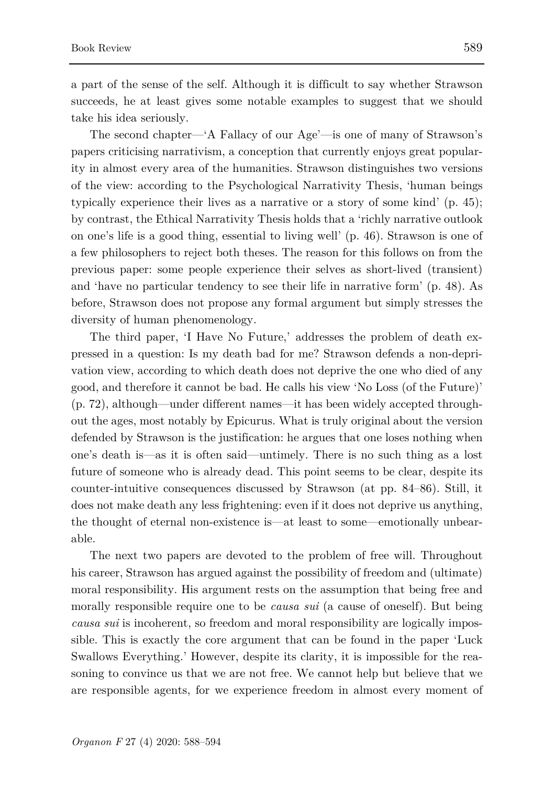a part of the sense of the self. Although it is difficult to say whether Strawson succeeds, he at least gives some notable examples to suggest that we should take his idea seriously.

The second chapter—'A Fallacy of our Age'—is one of many of Strawson's papers criticising narrativism, a conception that currently enjoys great popularity in almost every area of the humanities. Strawson distinguishes two versions of the view: according to the Psychological Narrativity Thesis, 'human beings typically experience their lives as a narrative or a story of some kind' (p. 45); by contrast, the Ethical Narrativity Thesis holds that a 'richly narrative outlook on one's life is a good thing, essential to living well' (p. 46). Strawson is one of a few philosophers to reject both theses. The reason for this follows on from the previous paper: some people experience their selves as short-lived (transient) and 'have no particular tendency to see their life in narrative form' (p. 48). As before, Strawson does not propose any formal argument but simply stresses the diversity of human phenomenology.

The third paper, 'I Have No Future,' addresses the problem of death expressed in a question: Is my death bad for me? Strawson defends a non-deprivation view, according to which death does not deprive the one who died of any good, and therefore it cannot be bad. He calls his view 'No Loss (of the Future)' (p. 72), although—under different names—it has been widely accepted throughout the ages, most notably by Epicurus. What is truly original about the version defended by Strawson is the justification: he argues that one loses nothing when one's death is—as it is often said—untimely. There is no such thing as a lost future of someone who is already dead. This point seems to be clear, despite its counter-intuitive consequences discussed by Strawson (at pp. 84–86). Still, it does not make death any less frightening: even if it does not deprive us anything, the thought of eternal non-existence is—at least to some—emotionally unbearable.

The next two papers are devoted to the problem of free will. Throughout his career, Strawson has argued against the possibility of freedom and (ultimate) moral responsibility. His argument rests on the assumption that being free and morally responsible require one to be *causa sui* (a cause of oneself). But being *causa sui* is incoherent, so freedom and moral responsibility are logically impossible. This is exactly the core argument that can be found in the paper 'Luck Swallows Everything.' However, despite its clarity, it is impossible for the reasoning to convince us that we are not free. We cannot help but believe that we are responsible agents, for we experience freedom in almost every moment of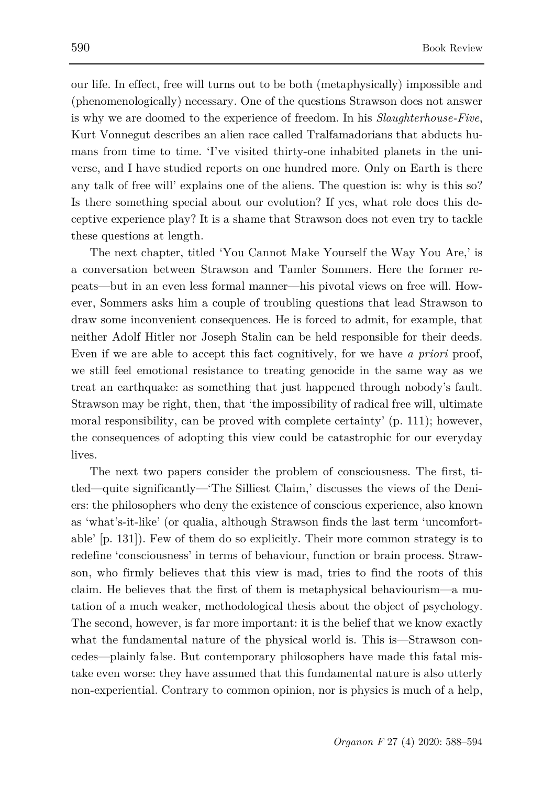our life. In effect, free will turns out to be both (metaphysically) impossible and (phenomenologically) necessary. One of the questions Strawson does not answer is why we are doomed to the experience of freedom. In his *Slaughterhouse-Five*, Kurt Vonnegut describes an alien race called Tralfamadorians that abducts humans from time to time. 'I've visited thirty-one inhabited planets in the universe, and I have studied reports on one hundred more. Only on Earth is there any talk of free will' explains one of the aliens. The question is: why is this so? Is there something special about our evolution? If yes, what role does this deceptive experience play? It is a shame that Strawson does not even try to tackle these questions at length.

The next chapter, titled 'You Cannot Make Yourself the Way You Are,' is a conversation between Strawson and Tamler Sommers. Here the former repeats—but in an even less formal manner—his pivotal views on free will. However, Sommers asks him a couple of troubling questions that lead Strawson to draw some inconvenient consequences. He is forced to admit, for example, that neither Adolf Hitler nor Joseph Stalin can be held responsible for their deeds. Even if we are able to accept this fact cognitively, for we have *a priori* proof, we still feel emotional resistance to treating genocide in the same way as we treat an earthquake: as something that just happened through nobody's fault. Strawson may be right, then, that 'the impossibility of radical free will, ultimate moral responsibility, can be proved with complete certainty' (p. 111); however, the consequences of adopting this view could be catastrophic for our everyday lives.

The next two papers consider the problem of consciousness. The first, titled—quite significantly—'The Silliest Claim,' discusses the views of the Deniers: the philosophers who deny the existence of conscious experience, also known as 'what's-it-like' (or qualia, although Strawson finds the last term 'uncomfortable' [p. 131]). Few of them do so explicitly. Their more common strategy is to redefine 'consciousness' in terms of behaviour, function or brain process. Strawson, who firmly believes that this view is mad, tries to find the roots of this claim. He believes that the first of them is metaphysical behaviourism—a mutation of a much weaker, methodological thesis about the object of psychology. The second, however, is far more important: it is the belief that we know exactly what the fundamental nature of the physical world is. This is—Strawson concedes—plainly false. But contemporary philosophers have made this fatal mistake even worse: they have assumed that this fundamental nature is also utterly non-experiential. Contrary to common opinion, nor is physics is much of a help,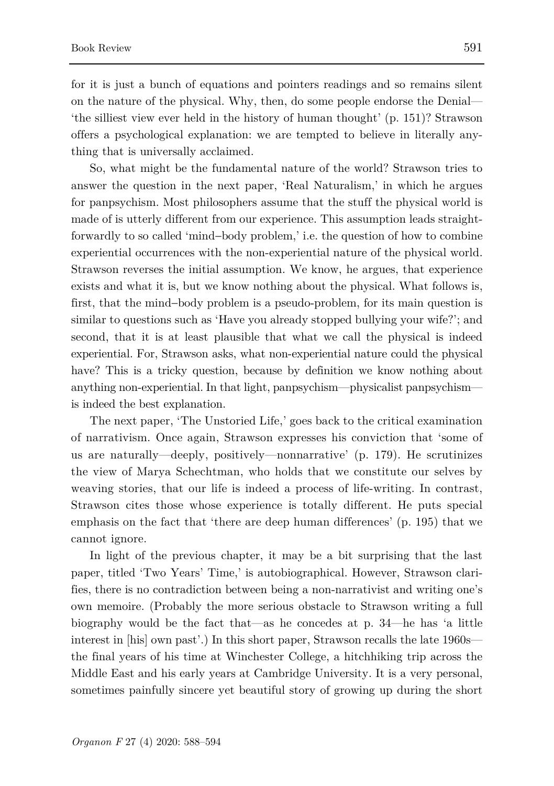for it is just a bunch of equations and pointers readings and so remains silent on the nature of the physical. Why, then, do some people endorse the Denial— 'the silliest view ever held in the history of human thought' (p. 151)? Strawson offers a psychological explanation: we are tempted to believe in literally anything that is universally acclaimed.

So, what might be the fundamental nature of the world? Strawson tries to answer the question in the next paper, 'Real Naturalism,' in which he argues for panpsychism. Most philosophers assume that the stuff the physical world is made of is utterly different from our experience. This assumption leads straightforwardly to so called 'mind−body problem,' i.e. the question of how to combine experiential occurrences with the non-experiential nature of the physical world. Strawson reverses the initial assumption. We know, he argues, that experience exists and what it is, but we know nothing about the physical. What follows is, first, that the mind−body problem is a pseudo-problem, for its main question is similar to questions such as 'Have you already stopped bullying your wife?'; and second, that it is at least plausible that what we call the physical is indeed experiential. For, Strawson asks, what non-experiential nature could the physical have? This is a tricky question, because by definition we know nothing about anything non-experiential. In that light, panpsychism—physicalist panpsychism is indeed the best explanation.

The next paper, 'The Unstoried Life,' goes back to the critical examination of narrativism. Once again, Strawson expresses his conviction that 'some of us are naturally—deeply, positively—nonnarrative' (p. 179). He scrutinizes the view of Marya Schechtman, who holds that we constitute our selves by weaving stories, that our life is indeed a process of life-writing. In contrast, Strawson cites those whose experience is totally different. He puts special emphasis on the fact that 'there are deep human differences' (p. 195) that we cannot ignore.

In light of the previous chapter, it may be a bit surprising that the last paper, titled 'Two Years' Time,' is autobiographical. However, Strawson clarifies, there is no contradiction between being a non-narrativist and writing one's own memoire. (Probably the more serious obstacle to Strawson writing a full biography would be the fact that—as he concedes at p. 34—he has 'a little interest in [his] own past'.) In this short paper, Strawson recalls the late 1960s the final years of his time at Winchester College, a hitchhiking trip across the Middle East and his early years at Cambridge University. It is a very personal, sometimes painfully sincere yet beautiful story of growing up during the short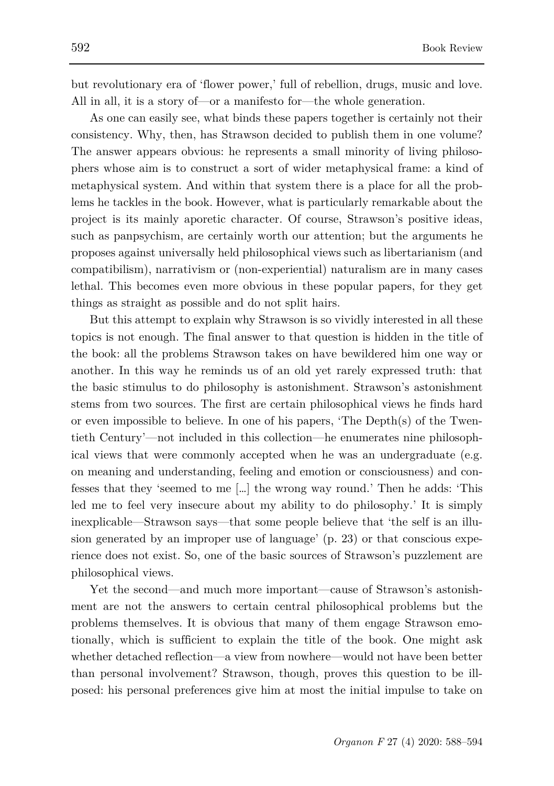but revolutionary era of 'flower power,' full of rebellion, drugs, music and love. All in all, it is a story of—or a manifesto for—the whole generation.

As one can easily see, what binds these papers together is certainly not their consistency. Why, then, has Strawson decided to publish them in one volume? The answer appears obvious: he represents a small minority of living philosophers whose aim is to construct a sort of wider metaphysical frame: a kind of metaphysical system. And within that system there is a place for all the problems he tackles in the book. However, what is particularly remarkable about the project is its mainly aporetic character. Of course, Strawson's positive ideas, such as panpsychism, are certainly worth our attention; but the arguments he proposes against universally held philosophical views such as libertarianism (and compatibilism), narrativism or (non-experiential) naturalism are in many cases lethal. This becomes even more obvious in these popular papers, for they get things as straight as possible and do not split hairs.

But this attempt to explain why Strawson is so vividly interested in all these topics is not enough. The final answer to that question is hidden in the title of the book: all the problems Strawson takes on have bewildered him one way or another. In this way he reminds us of an old yet rarely expressed truth: that the basic stimulus to do philosophy is astonishment. Strawson's astonishment stems from two sources. The first are certain philosophical views he finds hard or even impossible to believe. In one of his papers, 'The Depth $(s)$  of the Twentieth Century'—not included in this collection—he enumerates nine philosophical views that were commonly accepted when he was an undergraduate (e.g. on meaning and understanding, feeling and emotion or consciousness) and confesses that they 'seemed to me […] the wrong way round.' Then he adds: 'This led me to feel very insecure about my ability to do philosophy.' It is simply inexplicable—Strawson says—that some people believe that 'the self is an illusion generated by an improper use of language' (p. 23) or that conscious experience does not exist. So, one of the basic sources of Strawson's puzzlement are philosophical views.

Yet the second—and much more important—cause of Strawson's astonishment are not the answers to certain central philosophical problems but the problems themselves. It is obvious that many of them engage Strawson emotionally, which is sufficient to explain the title of the book. One might ask whether detached reflection—a view from nowhere—would not have been better than personal involvement? Strawson, though, proves this question to be illposed: his personal preferences give him at most the initial impulse to take on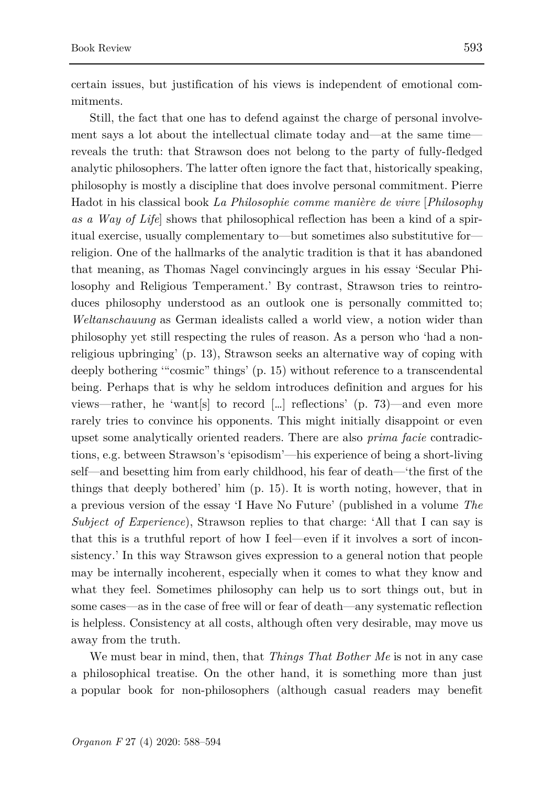mitments.

Still, the fact that one has to defend against the charge of personal involvement says a lot about the intellectual climate today and—at the same time reveals the truth: that Strawson does not belong to the party of fully-fledged analytic philosophers. The latter often ignore the fact that, historically speaking, philosophy is mostly a discipline that does involve personal commitment. Pierre Hadot in his classical book *La Philosophie comme manière de vivre* [*Philosophy as a Way of Life*] shows that philosophical reflection has been a kind of a spiritual exercise, usually complementary to—but sometimes also substitutive for religion. One of the hallmarks of the analytic tradition is that it has abandoned that meaning, as Thomas Nagel convincingly argues in his essay 'Secular Philosophy and Religious Temperament.' By contrast, Strawson tries to reintroduces philosophy understood as an outlook one is personally committed to; *Weltanschauung* as German idealists called a world view, a notion wider than philosophy yet still respecting the rules of reason. As a person who 'had a nonreligious upbringing' (p. 13), Strawson seeks an alternative way of coping with deeply bothering '"cosmic" things' (p. 15) without reference to a transcendental being. Perhaps that is why he seldom introduces definition and argues for his views—rather, he 'want[s] to record [...] reflections' (p.  $73$ )—and even more rarely tries to convince his opponents. This might initially disappoint or even upset some analytically oriented readers. There are also *prima facie* contradictions, e.g. between Strawson's 'episodism'—his experience of being a short-living self—and besetting him from early childhood, his fear of death—'the first of the things that deeply bothered' him (p. 15). It is worth noting, however, that in a previous version of the essay 'I Have No Future' (published in a volume *The Subject of Experience*), Strawson replies to that charge: 'All that I can say is that this is a truthful report of how I feel—even if it involves a sort of inconsistency.' In this way Strawson gives expression to a general notion that people may be internally incoherent, especially when it comes to what they know and what they feel. Sometimes philosophy can help us to sort things out, but in some cases—as in the case of free will or fear of death—any systematic reflection is helpless. Consistency at all costs, although often very desirable, may move us away from the truth.

We must bear in mind, then, that *Things That Bother Me* is not in any case a philosophical treatise. On the other hand, it is something more than just a popular book for non-philosophers (although casual readers may benefit